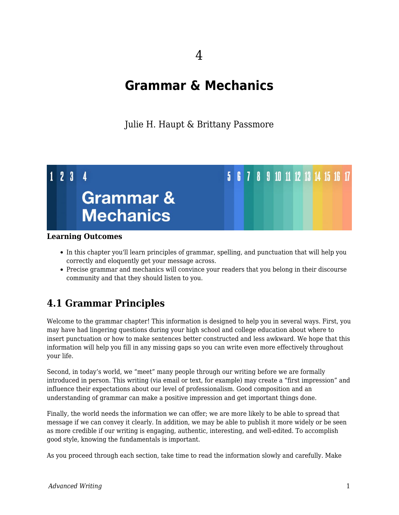4

# **Grammar & Mechanics**

Julie H. Haupt & Brittany Passmore



#### **Learning Outcomes**

- In this chapter you'll learn principles of grammar, spelling, and punctuation that will help you correctly and eloquently get your message across.
- Precise grammar and mechanics will convince your readers that you belong in their discourse community and that they should listen to you.

# **4.1 Grammar Principles**

Welcome to the grammar chapter! This information is designed to help you in several ways. First, you may have had lingering questions during your high school and college education about where to insert punctuation or how to make sentences better constructed and less awkward. We hope that this information will help you fill in any missing gaps so you can write even more effectively throughout your life.

Second, in today's world, we "meet" many people through our writing before we are formally introduced in person. This writing (via email or text, for example) may create a "first impression" and influence their expectations about our level of professionalism. Good composition and an understanding of grammar can make a positive impression and get important things done.

Finally, the world needs the information we can offer; we are more likely to be able to spread that message if we can convey it clearly. In addition, we may be able to publish it more widely or be seen as more credible if our writing is engaging, authentic, interesting, and well-edited. To accomplish good style, knowing the fundamentals is important.

As you proceed through each section, take time to read the information slowly and carefully. Make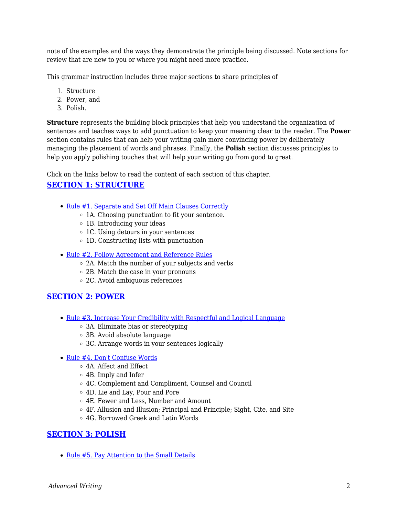note of the examples and the ways they demonstrate the principle being discussed. Note sections for review that are new to you or where you might need more practice.

This grammar instruction includes three major sections to share principles of

- 1. Structure
- 2. Power, and
- 3. Polish.

**Structure** represents the building block principles that help you understand the organization of sentences and teaches ways to add punctuation to keep your meaning clear to the reader. The **Power** section contains rules that can help your writing gain more convincing power by deliberately managing the placement of words and phrases. Finally, the **Polish** section discusses principles to help you apply polishing touches that will help your writing go from good to great.

Click on the links below to read the content of each section of this chapter.

## **[SECTION 1: STRUCTURE](https://docs.google.com/document/d/166dHxYTm6MT8LHieEHZJmtHsSl4qRP09wkrxf5tuT8E/edit?usp=sharing)**

- [Rule #1. Separate and Set Off Main Clauses Correctly](https://docs.google.com/document/d/166dHxYTm6MT8LHieEHZJmtHsSl4qRP09wkrxf5tuT8E/edit?usp=sharing)
	- o 1A. Choosing punctuation to fit your sentence.
	- 1B. Introducing your ideas
	- 1C. Using detours in your sentences
	- 1D. Constructing lists with punctuation
- [Rule #2. Follow Agreement and Reference Rules](https://docs.google.com/document/d/166dHxYTm6MT8LHieEHZJmtHsSl4qRP09wkrxf5tuT8E/edit#heading=h.uxvtcbsgjkz3)
	- 2A. Match the number of your subjects and verbs
	- 2B. Match the case in your pronouns
	- 2C. Avoid ambiguous references

## **[SECTION 2: POWER](https://docs.google.com/document/d/1ay4cv-peG7wwExbVNGPpFACC5r5fggyzLSDYMX1omyE/edit?usp=sharing)**

- [Rule #3. Increase Your Credibility with Respectful and Logical Language](https://docs.google.com/document/d/1ay4cv-peG7wwExbVNGPpFACC5r5fggyzLSDYMX1omyE/edit?usp=sharing)
	- 3A. Eliminate bias or stereotyping
	- 3B. Avoid absolute language
	- 3C. Arrange words in your sentences logically
- [Rule #4. Don't Confuse Words](https://docs.google.com/document/d/1ay4cv-peG7wwExbVNGPpFACC5r5fggyzLSDYMX1omyE/edit#heading=h.7geqkd9hj9y7)
	- 4A. Affect and Effect
	- 4B. Imply and Infer
	- 4C. Complement and Compliment, Counsel and Council
	- 4D. Lie and Lay, Pour and Pore
	- 4E. Fewer and Less, Number and Amount
	- 4F. Allusion and Illusion; Principal and Principle; Sight, Cite, and Site
	- 4G. Borrowed Greek and Latin Words

#### **[SECTION 3: POLISH](https://docs.google.com/document/d/11FF1nSJISPpaUAv65kw4h_6iIWOyPeO3JPc-hsWoY6c/edit?usp=sharing)**

• [Rule #5. Pay Attention to the Small Details](https://docs.google.com/document/d/11FF1nSJISPpaUAv65kw4h_6iIWOyPeO3JPc-hsWoY6c/edit?usp=sharing)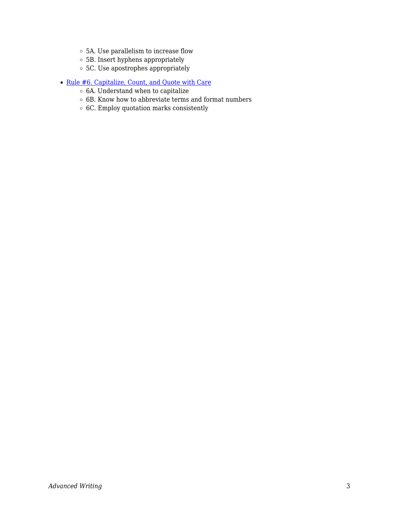- 5A. Use parallelism to increase flow
- $\circ$  5B. Insert hyphens appropriately
- 5C. Use apostrophes appropriately
- [Rule #6. Capitalize, Count, and Quote with Care](https://docs.google.com/document/d/11FF1nSJISPpaUAv65kw4h_6iIWOyPeO3JPc-hsWoY6c/edit#heading=h.f2olvthz10ic)
	- $\circ$  6A. Understand when to capitalize
	- $\circ$  6B. Know how to abbreviate terms and format numbers
	- $\circ$  6C. Employ quotation marks consistently